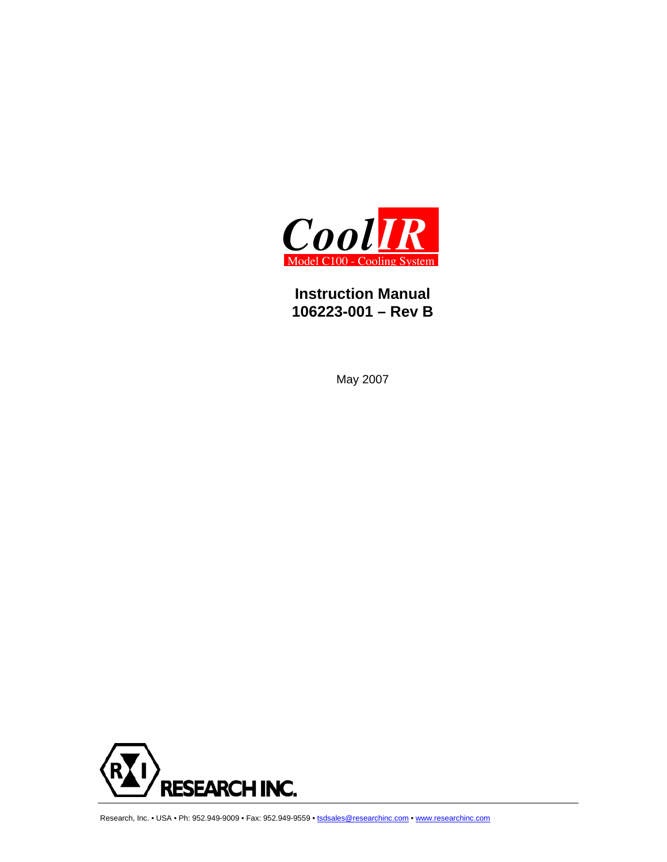

## **Instruction Manual 106223-001 – Rev B**

May 2007



Research, Inc. • USA • Ph: 952.949-9009 • Fax: 952.949-9559 • tsdsales@researchinc.com • www.researchinc.com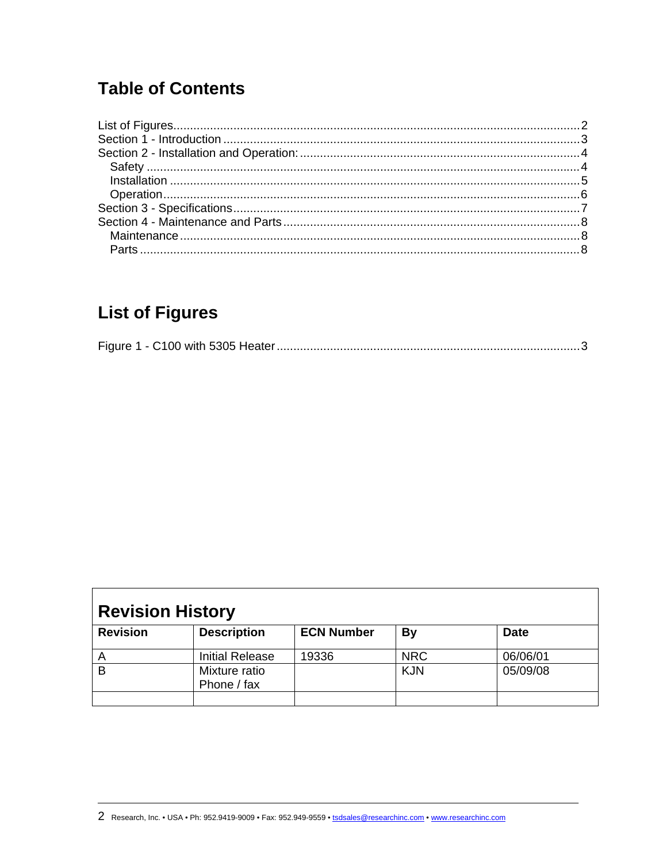# <span id="page-1-0"></span>**Table of Contents**

# **List of Figures**

|--|--|

| <b>Revision History</b> |                              |                   |            |             |  |
|-------------------------|------------------------------|-------------------|------------|-------------|--|
| <b>Revision</b>         | <b>Description</b>           | <b>ECN Number</b> | By         | <b>Date</b> |  |
| Α                       | <b>Initial Release</b>       | 19336             | <b>NRC</b> | 06/06/01    |  |
| B                       | Mixture ratio<br>Phone / fax |                   | <b>KJN</b> | 05/09/08    |  |
|                         |                              |                   |            |             |  |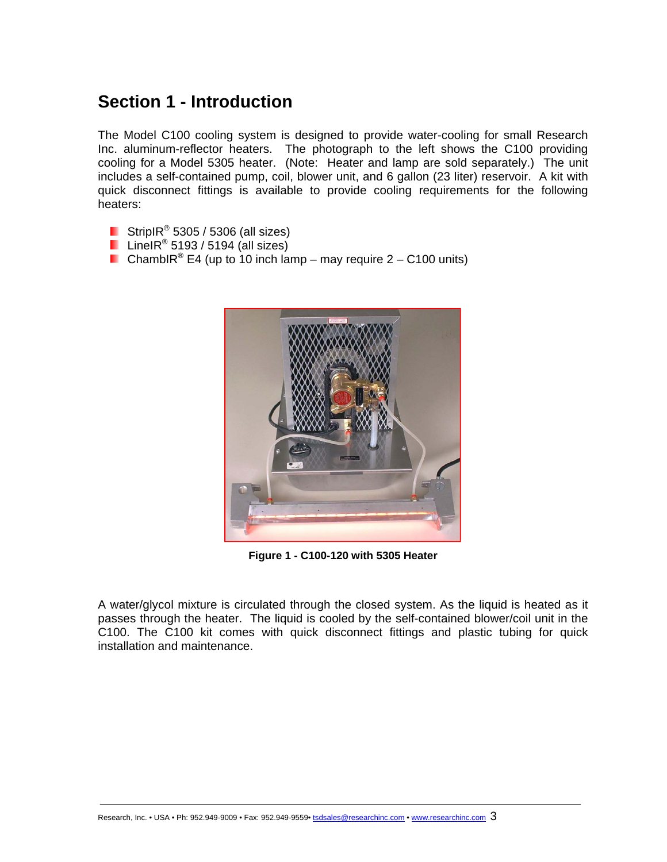## <span id="page-2-0"></span>**Section 1 - Introduction**

The Model C100 cooling system is designed to provide water-cooling for small Research Inc. aluminum-reflector heaters. The photograph to the left shows the C100 providing cooling for a Model 5305 heater. (Note: Heater and lamp are sold separately.) The unit includes a self-contained pump, coil, blower unit, and 6 gallon (23 liter) reservoir. A kit with quick disconnect fittings is available to provide cooling requirements for the following heaters:

- StripIR $^{\circ}$  5305 / 5306 (all sizes)
- LineIR<sup>®</sup> 5193 / 5194 (all sizes)
- ChambIR<sup>®</sup> E4 (up to 10 inch lamp may require  $2 C100$  units)



**Figure 1 - C100-120 with 5305 Heater** 

A water/glycol mixture is circulated through the closed system. As the liquid is heated as it passes through the heater. The liquid is cooled by the self-contained blower/coil unit in the C100. The C100 kit comes with quick disconnect fittings and plastic tubing for quick installation and maintenance.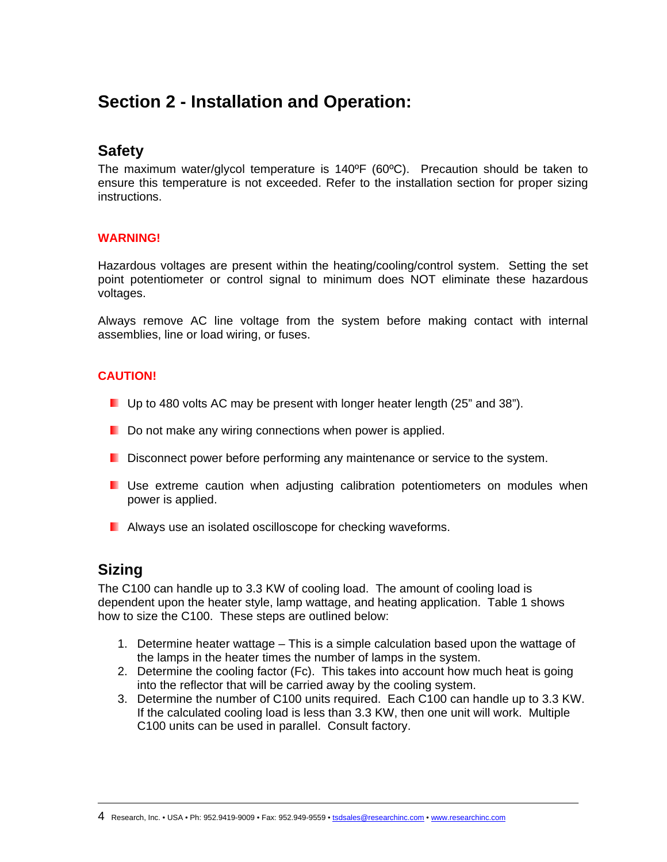## <span id="page-3-0"></span>**Section 2 - Installation and Operation:**

## **Safety**

The maximum water/glycol temperature is 140ºF (60ºC). Precaution should be taken to ensure this temperature is not exceeded. Refer to the installation section for proper sizing instructions.

### **WARNING!**

Hazardous voltages are present within the heating/cooling/control system. Setting the set point potentiometer or control signal to minimum does NOT eliminate these hazardous voltages.

Always remove AC line voltage from the system before making contact with internal assemblies, line or load wiring, or fuses.

### **CAUTION!**

- **Up to 480 volts AC may be present with longer heater length (25" and 38").**
- Do not make any wiring connections when power is applied.
- **D** Disconnect power before performing any maintenance or service to the system.
- **Use extreme caution when adjusting calibration potentiometers on modules when** power is applied.
- **Always use an isolated oscilloscope for checking waveforms.**

## **Sizing**

 $\overline{a}$ 

The C100 can handle up to 3.3 KW of cooling load. The amount of cooling load is dependent upon the heater style, lamp wattage, and heating application. Table 1 shows how to size the C100. These steps are outlined below:

- 1. Determine heater wattage This is a simple calculation based upon the wattage of the lamps in the heater times the number of lamps in the system.
- 2. Determine the cooling factor (Fc). This takes into account how much heat is going into the reflector that will be carried away by the cooling system.
- 3. Determine the number of C100 units required. Each C100 can handle up to 3.3 KW. If the calculated cooling load is less than 3.3 KW, then one unit will work. Multiple C100 units can be used in parallel. Consult factory.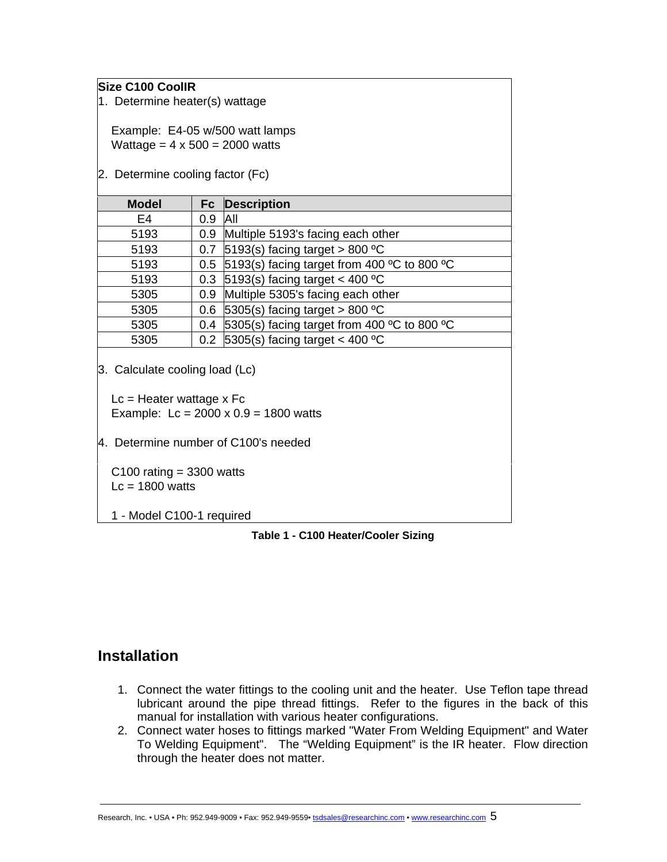### <span id="page-4-0"></span>**Size C100 CoolIR**

1. Determine heater(s) wattage

 Example: E4-05 w/500 watt lamps Wattage =  $4 \times 500 = 2000$  watts

2. Determine cooling factor (Fc)

| <b>Model</b> |                  | <b>Fc</b> Description                           |
|--------------|------------------|-------------------------------------------------|
| E4           | 0.9              | <b>AII</b>                                      |
| 5193         | 0.9              | Multiple 5193's facing each other               |
| 5193         | 0.7              | 5193(s) facing target > 800 $^{\circ}$ C        |
| 5193         |                  | 0.5 5193(s) facing target from 400 °C to 800 °C |
| 5193         | 0.3              | 5193(s) facing target < 400 $^{\circ}$ C        |
| 5305         | 0.9 <sup>°</sup> | Multiple 5305's facing each other               |
| 5305         | 0.6 <sub>1</sub> | 5305(s) facing target > 800 $^{\circ}$ C        |
| 5305         | 0.4              | 5305(s) facing target from 400 °C to 800 °C     |
| 5305         |                  | 0.2 $ 5305(s)$ facing target < 400 °C           |

3. Calculate cooling load (Lc)

 $Lc =$  Heater wattage x Fc Example:  $Lc = 2000 \times 0.9 = 1800$  watts

4. Determine number of C100's needed

C100 rating  $=$  3300 watts  $Lc = 1800$  watts

1 - Model C100-1 required

**Table 1 - C100 Heater/Cooler Sizing**

### **Installation**

- 1. Connect the water fittings to the cooling unit and the heater. Use Teflon tape thread lubricant around the pipe thread fittings. Refer to the figures in the back of this manual for installation with various heater configurations.
- 2. Connect water hoses to fittings marked "Water From Welding Equipment" and Water To Welding Equipment". The "Welding Equipment" is the IR heater. Flow direction through the heater does not matter.

Research, Inc. • USA • Ph: 952.949-9009 • Fax: 952.949-9559• tsdsales@researchinc.com • www.researchinc.com 5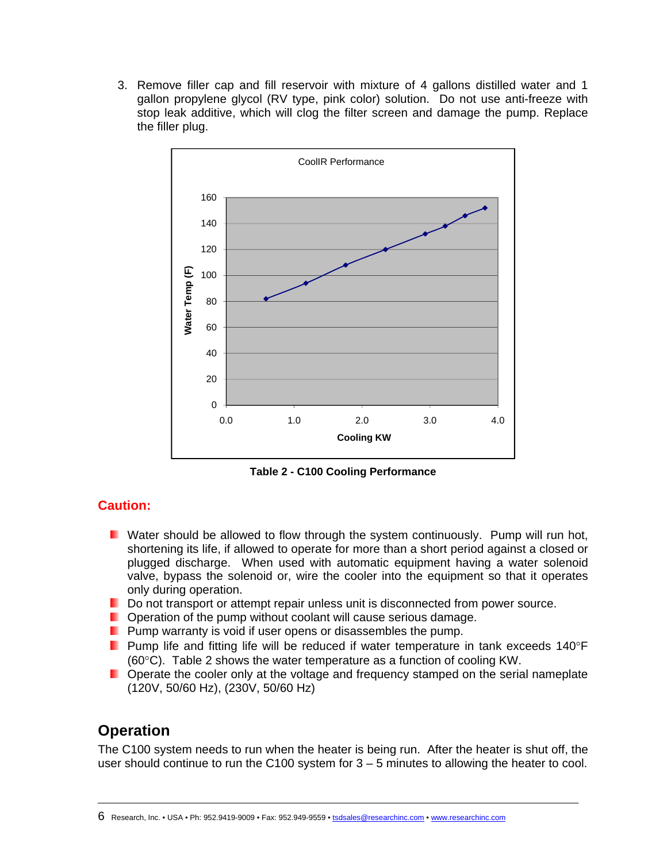<span id="page-5-0"></span>3. Remove filler cap and fill reservoir with mixture of 4 gallons distilled water and 1 gallon propylene glycol (RV type, pink color) solution. Do not use anti-freeze with stop leak additive, which will clog the filter screen and damage the pump. Replace the filler plug.



**Table 2 - C100 Cooling Performance** 

### **Caution:**

- **N** Water should be allowed to flow through the system continuously. Pump will run hot, shortening its life, if allowed to operate for more than a short period against a closed or plugged discharge. When used with automatic equipment having a water solenoid valve, bypass the solenoid or, wire the cooler into the equipment so that it operates only during operation.
- Do not transport or attempt repair unless unit is disconnected from power source.
- **D** Operation of the pump without coolant will cause serious damage.
- **Pump warranty is void if user opens or disassembles the pump.**
- **Pump life and fitting life will be reduced if water temperature in tank exceeds 140°F** (60°C). Table 2 shows the water temperature as a function of cooling KW.
- **D** Operate the cooler only at the voltage and frequency stamped on the serial nameplate (120V, 50/60 Hz), (230V, 50/60 Hz)

## **Operation**

 $\overline{a}$ 

The C100 system needs to run when the heater is being run. After the heater is shut off, the user should continue to run the  $C100$  system for  $3 - 5$  minutes to allowing the heater to cool.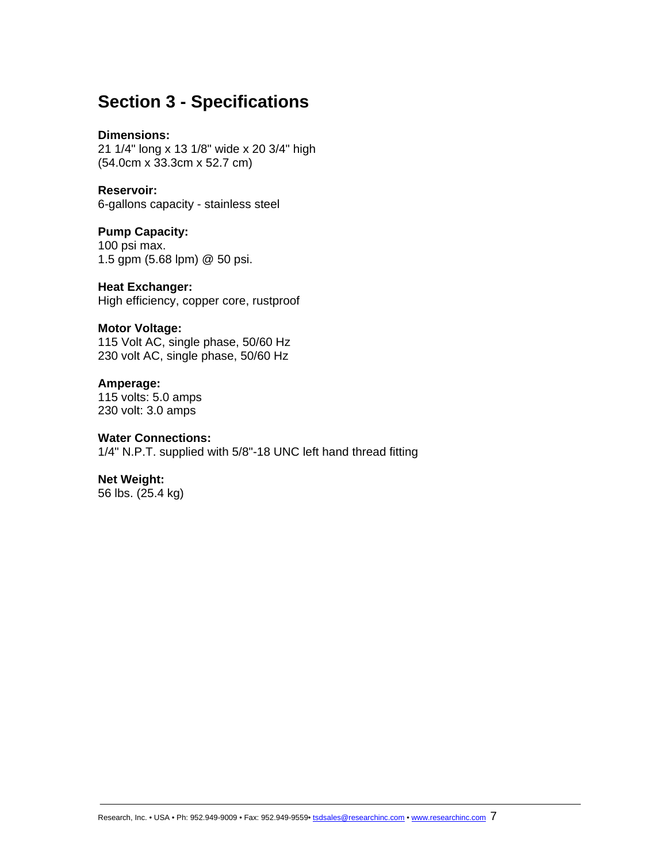## <span id="page-6-0"></span>**Section 3 - Specifications**

#### **Dimensions:**

21 1/4" long x 13 1/8" wide x 20 3/4" high (54.0cm x 33.3cm x 52.7 cm)

### **Reservoir:**

6-gallons capacity - stainless steel

#### **Pump Capacity:**  100 psi max. 1.5 gpm (5.68 lpm) @ 50 psi.

#### **Heat Exchanger:**  High efficiency, copper core, rustproof

#### **Motor Voltage:**

115 Volt AC, single phase, 50/60 Hz 230 volt AC, single phase, 50/60 Hz

### **Amperage:**

115 volts: 5.0 amps 230 volt: 3.0 amps

#### **Water Connections:**

1/4" N.P.T. supplied with 5/8"-18 UNC left hand thread fitting

### **Net Weight:**

56 lbs. (25.4 kg)